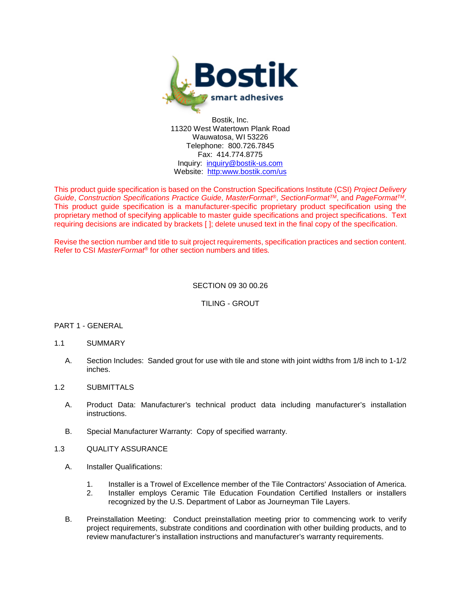

Bostik, Inc. 11320 West Watertown Plank Road Wauwatosa, WI 53226 Telephone: 800.726.7845 Fax: 414.774.8775 Inquiry: [inquiry@bostik-us.com](mailto:contactus@bostik-us.com) Website: [http:www.bostik.com/](http://www.bostik-us.com/)us

This product guide specification is based on the Construction Specifications Institute (CSI) *Project Delivery Guide*, *Construction Specifications Practice Guide*, *MasterFormat®*, *SectionFormatTM*, and *PageFormatTM*. This product guide specification is a manufacturer-specific proprietary product specification using the proprietary method of specifying applicable to master guide specifications and project specifications. Text requiring decisions are indicated by brackets [ ]; delete unused text in the final copy of the specification.

Revise the section number and title to suit project requirements, specification practices and section content. Refer to CSI *MasterFormat®* for other section numbers and titles*.*

## SECTION 09 30 00.26

TILING - GROUT

## PART 1 - GENERAL

## 1.1 SUMMARY

A. Section Includes: Sanded grout for use with tile and stone with joint widths from 1/8 inch to 1-1/2 inches.

## 1.2 SUBMITTALS

- A. Product Data: Manufacturer's technical product data including manufacturer's installation instructions.
- B. Special Manufacturer Warranty: Copy of specified warranty.
- 1.3 QUALITY ASSURANCE
	- A. Installer Qualifications:
		- 1. Installer is a Trowel of Excellence member of the Tile Contractors' Association of America.
		- 2. Installer employs Ceramic Tile Education Foundation Certified Installers or installers recognized by the U.S. Department of Labor as Journeyman Tile Layers.
	- B. Preinstallation Meeting: Conduct preinstallation meeting prior to commencing work to verify project requirements, substrate conditions and coordination with other building products, and to review manufacturer's installation instructions and manufacturer's warranty requirements.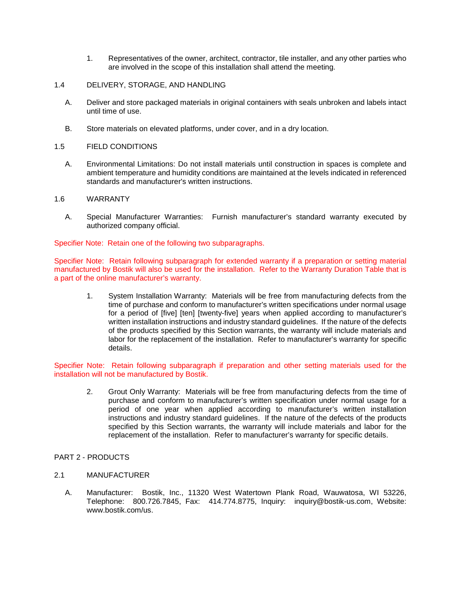- 1. Representatives of the owner, architect, contractor, tile installer, and any other parties who are involved in the scope of this installation shall attend the meeting.
- 1.4 DELIVERY, STORAGE, AND HANDLING
	- A. Deliver and store packaged materials in original containers with seals unbroken and labels intact until time of use.
	- B. Store materials on elevated platforms, under cover, and in a dry location.
- 1.5 FIELD CONDITIONS
	- A. Environmental Limitations: Do not install materials until construction in spaces is complete and ambient temperature and humidity conditions are maintained at the levels indicated in referenced standards and manufacturer's written instructions.
- 1.6 WARRANTY
	- A. Special Manufacturer Warranties: Furnish manufacturer's standard warranty executed by authorized company official.

Specifier Note: Retain one of the following two subparagraphs.

Specifier Note: Retain following subparagraph for extended warranty if a preparation or setting material manufactured by Bostik will also be used for the installation. Refer to the Warranty Duration Table that is a part of the online manufacturer's warranty.

1. System Installation Warranty: Materials will be free from manufacturing defects from the time of purchase and conform to manufacturer's written specifications under normal usage for a period of [five] [ten] [twenty-five] years when applied according to manufacturer's written installation instructions and industry standard guidelines. If the nature of the defects of the products specified by this Section warrants, the warranty will include materials and labor for the replacement of the installation. Refer to manufacturer's warranty for specific details.

Specifier Note: Retain following subparagraph if preparation and other setting materials used for the installation will not be manufactured by Bostik.

- 2. Grout Only Warranty: Materials will be free from manufacturing defects from the time of purchase and conform to manufacturer's written specification under normal usage for a period of one year when applied according to manufacturer's written installation instructions and industry standard guidelines. If the nature of the defects of the products specified by this Section warrants, the warranty will include materials and labor for the replacement of the installation. Refer to manufacturer's warranty for specific details.
- PART 2 PRODUCTS
- 2.1 MANUFACTURER
	- A. Manufacturer: Bostik, Inc., 11320 West Watertown Plank Road, Wauwatosa, WI 53226, Telephone: 800.726.7845, Fax: 414.774.8775, Inquiry: inquiry@bostik-us.com, Website: www.bostik.com/us.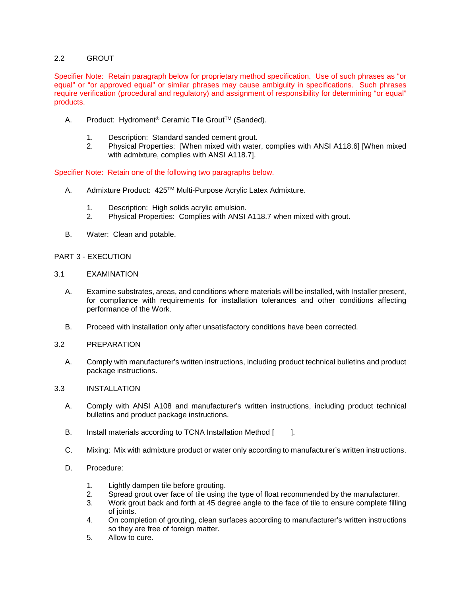## 2.2 GROUT

Specifier Note: Retain paragraph below for proprietary method specification. Use of such phrases as "or equal" or "or approved equal" or similar phrases may cause ambiguity in specifications. Such phrases require verification (procedural and regulatory) and assignment of responsibility for determining "or equal" products.

- A. Product: Hydroment<sup>®</sup> Ceramic Tile Grout<sup>™</sup> (Sanded).
	- 1. Description: Standard sanded cement grout.
	- 2. Physical Properties: [When mixed with water, complies with ANSI A118.6] [When mixed with admixture, complies with ANSI A118.7].

Specifier Note: Retain one of the following two paragraphs below.

- A. Admixture Product: 425™ Multi-Purpose Acrylic Latex Admixture.
	- 1. Description: High solids acrylic emulsion.<br>2. Physical Properties: Complies with ANSI
	- 2. Physical Properties: Complies with ANSI A118.7 when mixed with grout.
- B. Water: Clean and potable.

## PART 3 - EXECUTION

## 3.1 EXAMINATION

- A. Examine substrates, areas, and conditions where materials will be installed, with Installer present, for compliance with requirements for installation tolerances and other conditions affecting performance of the Work.
- B. Proceed with installation only after unsatisfactory conditions have been corrected.

## 3.2 PREPARATION

A. Comply with manufacturer's written instructions, including product technical bulletins and product package instructions.

## 3.3 INSTALLATION

- A. Comply with ANSI A108 and manufacturer's written instructions, including product technical bulletins and product package instructions.
- B. Install materials according to TCNA Installation Method [ ].
- C. Mixing: Mix with admixture product or water only according to manufacturer's written instructions.
- D. Procedure:
	- 1. Lightly dampen tile before grouting.
	- 2. Spread grout over face of tile using the type of float recommended by the manufacturer.
	- 3. Work grout back and forth at 45 degree angle to the face of tile to ensure complete filling of joints.
	- 4. On completion of grouting, clean surfaces according to manufacturer's written instructions so they are free of foreign matter.
	- 5. Allow to cure.